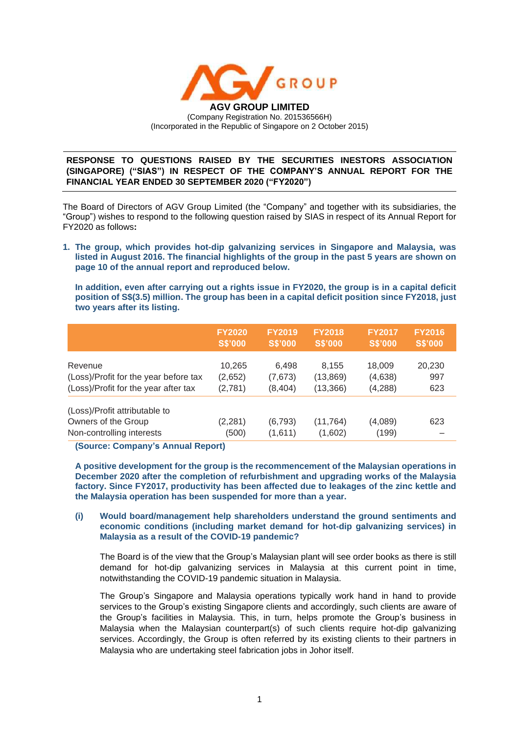

**RESPONSE TO QUESTIONS RAISED BY THE SECURITIES INESTORS ASSOCIATION (SINGAPORE) ("SIAS") IN RESPECT OF THE COMPANY'S ANNUAL REPORT FOR THE FINANCIAL YEAR ENDED 30 SEPTEMBER 2020 ("FY2020")**

The Board of Directors of AGV Group Limited (the "Company" and together with its subsidiaries, the "Group") wishes to respond to the following question raised by SIAS in respect of its Annual Report for FY2020 as follows**:**

**1. The group, which provides hot-dip galvanizing services in Singapore and Malaysia, was listed in August 2016. The financial highlights of the group in the past 5 years are shown on page 10 of the annual report and reproduced below.**

**In addition, even after carrying out a rights issue in FY2020, the group is in a capital deficit position of S\$(3.5) million. The group has been in a capital deficit position since FY2018, just two years after its listing.**

|                                                                                   | <b>FY2020</b>     | <b>FY2019</b>       | <b>FY2018</b>        | <b>FY2017</b>    | <b>FY2016</b>  |
|-----------------------------------------------------------------------------------|-------------------|---------------------|----------------------|------------------|----------------|
|                                                                                   | <b>S\$'000</b>    | <b>S\$'000</b>      | <b>S\$'000</b>       | <b>S\$'000</b>   | <b>S\$'000</b> |
| Revenue                                                                           | 10,265            | 6,498               | 8,155                | 18,009           | 20,230         |
| (Loss)/Profit for the year before tax                                             | (2,652)           | (7,673)             | (13, 869)            | (4,638)          | 997            |
| (Loss)/Profit for the year after tax                                              | (2,781)           | (8, 404)            | (13, 366)            | (4,288)          | 623            |
| (Loss)/Profit attributable to<br>Owners of the Group<br>Non-controlling interests | (2, 281)<br>(500) | (6, 793)<br>(1,611) | (11, 764)<br>(1,602) | (4,089)<br>(199) | 623            |

**(Source: Company's Annual Report)**

**A positive development for the group is the recommencement of the Malaysian operations in December 2020 after the completion of refurbishment and upgrading works of the Malaysia factory. Since FY2017, productivity has been affected due to leakages of the zinc kettle and the Malaysia operation has been suspended for more than a year.**

**(i) Would board/management help shareholders understand the ground sentiments and economic conditions (including market demand for hot-dip galvanizing services) in Malaysia as a result of the COVID-19 pandemic?**

The Board is of the view that the Group's Malaysian plant will see order books as there is still demand for hot-dip galvanizing services in Malaysia at this current point in time, notwithstanding the COVID-19 pandemic situation in Malaysia.

The Group's Singapore and Malaysia operations typically work hand in hand to provide services to the Group's existing Singapore clients and accordingly, such clients are aware of the Group's facilities in Malaysia. This, in turn, helps promote the Group's business in Malaysia when the Malaysian counterpart(s) of such clients require hot-dip galvanizing services. Accordingly, the Group is often referred by its existing clients to their partners in Malaysia who are undertaking steel fabrication jobs in Johor itself.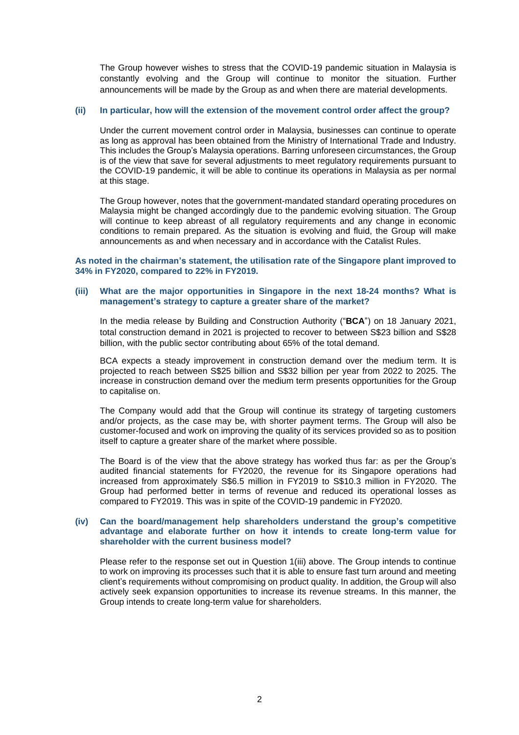The Group however wishes to stress that the COVID-19 pandemic situation in Malaysia is constantly evolving and the Group will continue to monitor the situation. Further announcements will be made by the Group as and when there are material developments.

# **(ii) In particular, how will the extension of the movement control order affect the group?**

Under the current movement control order in Malaysia, businesses can continue to operate as long as approval has been obtained from the Ministry of International Trade and Industry. This includes the Group's Malaysia operations. Barring unforeseen circumstances, the Group is of the view that save for several adjustments to meet regulatory requirements pursuant to the COVID-19 pandemic, it will be able to continue its operations in Malaysia as per normal at this stage.

The Group however, notes that the government-mandated standard operating procedures on Malaysia might be changed accordingly due to the pandemic evolving situation. The Group will continue to keep abreast of all regulatory requirements and any change in economic conditions to remain prepared. As the situation is evolving and fluid, the Group will make announcements as and when necessary and in accordance with the Catalist Rules.

**As noted in the chairman's statement, the utilisation rate of the Singapore plant improved to 34% in FY2020, compared to 22% in FY2019.**

### **(iii) What are the major opportunities in Singapore in the next 18-24 months? What is management's strategy to capture a greater share of the market?**

In the media release by Building and Construction Authority ("**BCA**") on 18 January 2021, total construction demand in 2021 is projected to recover to between S\$23 billion and S\$28 billion, with the public sector contributing about 65% of the total demand.

BCA expects a steady improvement in construction demand over the medium term. It is projected to reach between S\$25 billion and S\$32 billion per year from 2022 to 2025. The increase in construction demand over the medium term presents opportunities for the Group to capitalise on.

The Company would add that the Group will continue its strategy of targeting customers and/or projects, as the case may be, with shorter payment terms. The Group will also be customer-focused and work on improving the quality of its services provided so as to position itself to capture a greater share of the market where possible.

The Board is of the view that the above strategy has worked thus far: as per the Group's audited financial statements for FY2020, the revenue for its Singapore operations had increased from approximately S\$6.5 million in FY2019 to S\$10.3 million in FY2020. The Group had performed better in terms of revenue and reduced its operational losses as compared to FY2019. This was in spite of the COVID-19 pandemic in FY2020.

## **(iv) Can the board/management help shareholders understand the group's competitive advantage and elaborate further on how it intends to create long-term value for shareholder with the current business model?**

Please refer to the response set out in Question 1(iii) above. The Group intends to continue to work on improving its processes such that it is able to ensure fast turn around and meeting client's requirements without compromising on product quality. In addition, the Group will also actively seek expansion opportunities to increase its revenue streams. In this manner, the Group intends to create long-term value for shareholders.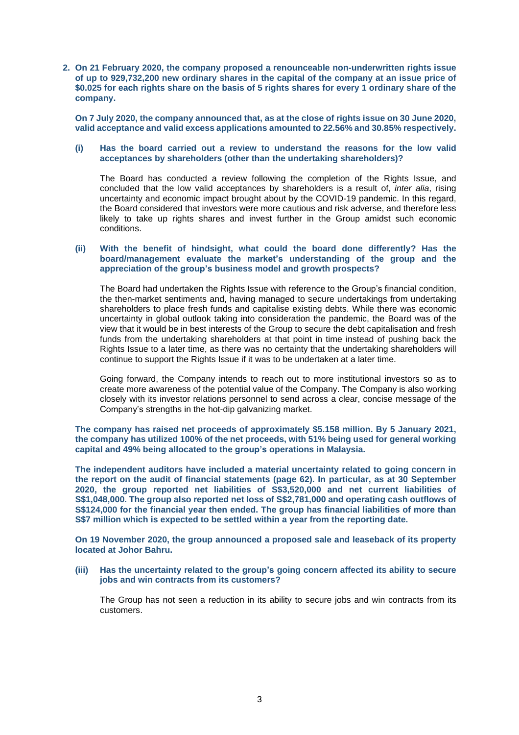**2. On 21 February 2020, the company proposed a renounceable non-underwritten rights issue of up to 929,732,200 new ordinary shares in the capital of the company at an issue price of** \$0.025 for each rights share on the basis of 5 rights shares for every 1 ordinary share of the **company.**

On 7 July 2020, the company announced that, as at the close of rights issue on 30 June 2020, **valid acceptance and valid excess applications amounted to 22.56% and 30.85% respectively.**

### **(i) Has the board carried out a review to understand the reasons for the low valid acceptances by shareholders (other than the undertaking shareholders)?**

The Board has conducted a review following the completion of the Rights Issue, and concluded that the low valid acceptances by shareholders is a result of, *inter alia*, rising uncertainty and economic impact brought about by the COVID-19 pandemic. In this regard, the Board considered that investors were more cautious and risk adverse, and therefore less likely to take up rights shares and invest further in the Group amidst such economic conditions.

## **(ii) With the benefit of hindsight, what could the board done differently? Has the board/management evaluate the market's understanding of the group and the appreciation of the group's business model and growth prospects?**

The Board had undertaken the Rights Issue with reference to the Group's financial condition, the then-market sentiments and, having managed to secure undertakings from undertaking shareholders to place fresh funds and capitalise existing debts. While there was economic uncertainty in global outlook taking into consideration the pandemic, the Board was of the view that it would be in best interests of the Group to secure the debt capitalisation and fresh funds from the undertaking shareholders at that point in time instead of pushing back the Rights Issue to a later time, as there was no certainty that the undertaking shareholders will continue to support the Rights Issue if it was to be undertaken at a later time.

Going forward, the Company intends to reach out to more institutional investors so as to create more awareness of the potential value of the Company. The Company is also working closely with its investor relations personnel to send across a clear, concise message of the Company's strengths in the hot-dip galvanizing market.

**The company has raised net proceeds of approximately \$5.158 million. By 5 January 2021, the company has utilized 100% of the net proceeds, with 51% being used for general working capital and 49% being allocated to the group's operations in Malaysia.**

**The independent auditors have included a material uncertainty related to going concern in the report on the audit of financial statements (page 62). In particular, as at 30 September 2020, the group reported net liabilities of S\$3,520,000 and net current liabilities of S\$1,048,000. The group also reported net loss of S\$2,781,000 and operating cash outflows of S\$124,000 for the financial year then ended. The group has financial liabilities of more than S\$7 million which is expected to be settled within a year from the reporting date.**

**On 19 November 2020, the group announced a proposed sale and leaseback of its property located at Johor Bahru.**

**(iii) Has the uncertainty related to the group's going concern affected its ability to secure jobs and win contracts from its customers?**

The Group has not seen a reduction in its ability to secure jobs and win contracts from its customers.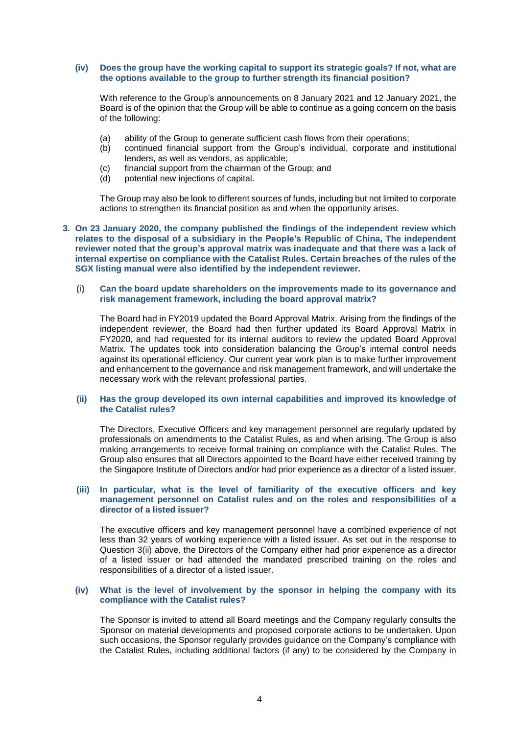#### **(iv) Does the group have the working capital to support its strategic goals? If not, what are the options available to the group to further strength its financial position?**

With reference to the Group's announcements on 8 January 2021 and 12 January 2021, the Board is of the opinion that the Group will be able to continue as a going concern on the basis of the following:

- (a) ability of the Group to generate sufficient cash flows from their operations;<br>(b) continued financial support from the Group's individual, corporate and
- continued financial support from the Group's individual, corporate and institutional lenders, as well as vendors, as applicable;
- (c) financial support from the chairman of the Group; and (d) potential new injections of capital.
- potential new injections of capital.

The Group may also be look to different sources of funds, including but not limited to corporate actions to strengthen its financial position as and when the opportunity arises.

### **3. On 23 January 2020, the company published the findings of the independent review which relates to the disposal of a subsidiary in the People's Republic of China, The independent reviewer noted that the group's approval matrix was inadequate and that there was a lack of internal expertise on compliance with the Catalist Rules. Certain breaches of the rules of the SGX listing manual were also identified by the independent reviewer.**

#### **(i) Can the board update shareholders on the improvements made to its governance and risk management framework, including the board approval matrix?**

The Board had in FY2019 updated the Board Approval Matrix. Arising from the findings of the independent reviewer, the Board had then further updated its Board Approval Matrix in FY2020, and had requested for its internal auditors to review the updated Board Approval Matrix. The updates took into consideration balancing the Group's internal control needs against its operational efficiency. Our current year work plan is to make further improvement and enhancement to the governance and risk management framework, and will undertake the necessary work with the relevant professional parties.

#### **(ii) Has the group developed its own internal capabilities and improved its knowledge of the Catalist rules?**

The Directors, Executive Officers and key management personnel are regularly updated by professionals on amendments to the Catalist Rules, as and when arising. The Group is also making arrangements to receive formal training on compliance with the Catalist Rules. The Group also ensures that all Directors appointed to the Board have either received training by the Singapore Institute of Directors and/or had prior experience as a director of a listed issuer.

### **(iii) In particular, what is the level of familiarity of the executive officers and key management personnel on Catalist rules and on the roles and responsibilities of a director of a listed issuer?**

The executive officers and key management personnel have a combined experience of not less than 32 years of working experience with a listed issuer. As set out in the response to Question 3(ii) above, the Directors of the Company either had prior experience as a director of a listed issuer or had attended the mandated prescribed training on the roles and responsibilities of a director of a listed issuer.

#### **(iv) What is the level of involvement by the sponsor in helping the company with its compliance with the Catalist rules?**

The Sponsor is invited to attend all Board meetings and the Company regularly consults the Sponsor on material developments and proposed corporate actions to be undertaken. Upon such occasions, the Sponsor regularly provides guidance on the Company's compliance with the Catalist Rules, including additional factors (if any) to be considered by the Company in